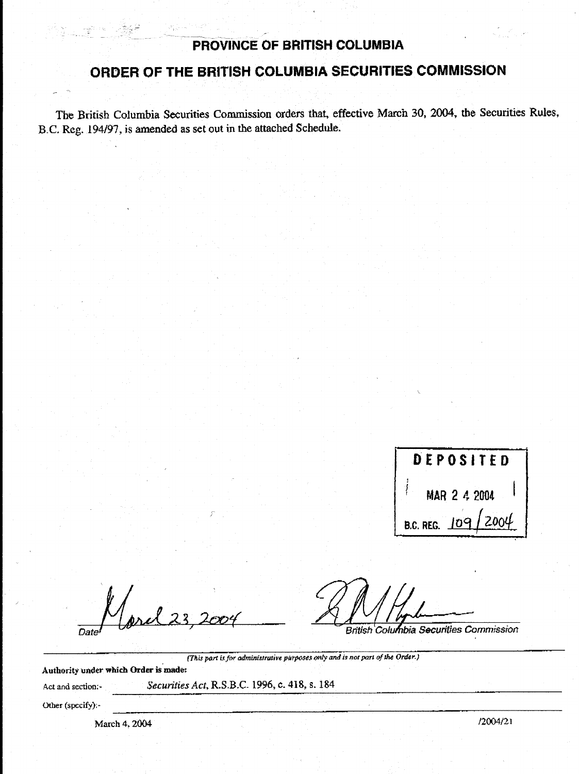## PROVINCE OF BRITISH COLUMBIA

# ORDER OF THE BRITISH COLUMBIA SECURITIES COMMISSION

The British Columbia Securities Commission orders that, effective March 30, 2004, the Securities Rules, B.C. Reg. 194/97, is amended as set out in the attached Schedule.

DEPOSITED MAR 2 4 2004 סן. **B.C. REG.** 

Date

i stille e

British Columbia Securities Commission

Authority under which Order is made:

Act and section:-

Securities Act, R.S.B.C. 1996, c. 418, s. 184

(This part is for administrative purposes only and is not part of the Order.)

Other (specify):-

March 4, 2004

 $12004/21$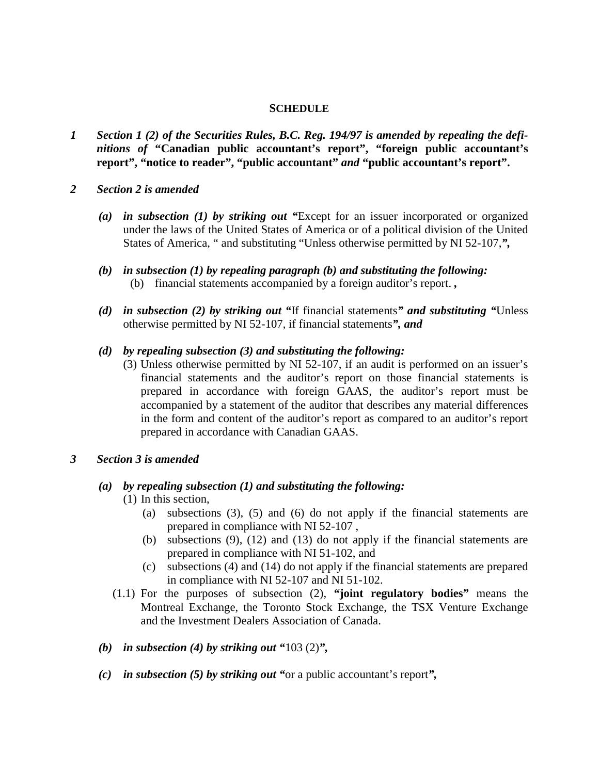#### **SCHEDULE**

- *1 Section 1 (2) of the Securities Rules, B.C. Reg. 194/97 is amended by repealing the definitions of* **"Canadian public accountant's report", "foreign public accountant's report", "notice to reader", "public accountant"** *and* **"public accountant's report".**
- *2 Section 2 is amended* 
	- *(a) in subsection (1) by striking out "*Except for an issuer incorporated or organized under the laws of the United States of America or of a political division of the United States of America, " and substituting "Unless otherwise permitted by NI 52-107,*",*
	- *(b) in subsection (1) by repealing paragraph (b) and substituting the following:*  (b) financial statements accompanied by a foreign auditor's report. *,*
	- *(d) in subsection (2) by striking out "*If financial statements*" and substituting "*Unless otherwise permitted by NI 52-107, if financial statements*", and*
	- *(d) by repealing subsection (3) and substituting the following:* 
		- (3) Unless otherwise permitted by NI 52-107, if an audit is performed on an issuer's financial statements and the auditor's report on those financial statements is prepared in accordance with foreign GAAS, the auditor's report must be accompanied by a statement of the auditor that describes any material differences in the form and content of the auditor's report as compared to an auditor's report prepared in accordance with Canadian GAAS.
- *3 Section 3 is amended*

### *(a) by repealing subsection (1) and substituting the following:*

- (1) In this section,
	- (a) subsections (3), (5) and (6) do not apply if the financial statements are prepared in compliance with NI 52-107 ,
	- (b) subsections (9), (12) and (13) do not apply if the financial statements are prepared in compliance with NI 51-102, and
	- (c) subsections (4) and (14) do not apply if the financial statements are prepared in compliance with NI 52-107 and NI 51-102.
- (1.1) For the purposes of subsection (2), **"joint regulatory bodies"** means the Montreal Exchange, the Toronto Stock Exchange, the TSX Venture Exchange and the Investment Dealers Association of Canada.
- *(b) in subsection (4) by striking out "*103 (2)*",*
- *(c) in subsection (5) by striking out "*or a public accountant's report*",*